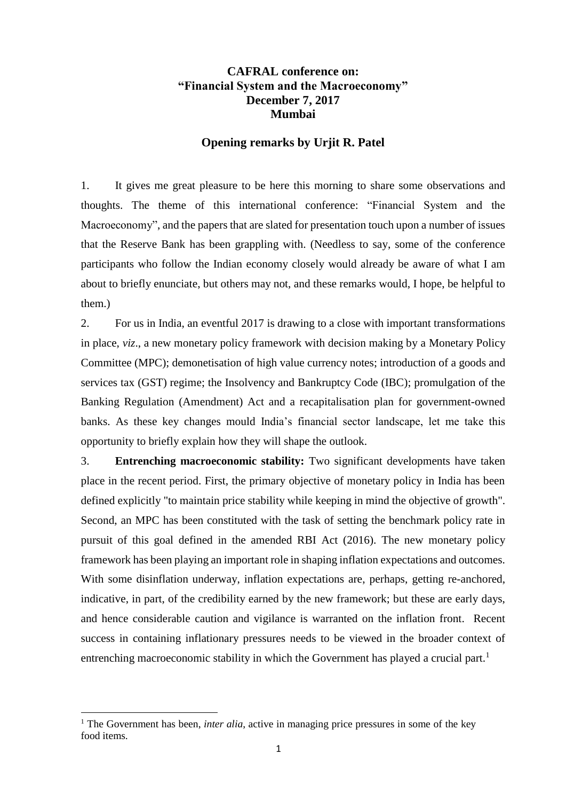## **CAFRAL conference on: "Financial System and the Macroeconomy" December 7, 2017 Mumbai**

## **Opening remarks by Urjit R. Patel**

1. It gives me great pleasure to be here this morning to share some observations and thoughts. The theme of this international conference: "Financial System and the Macroeconomy", and the papers that are slated for presentation touch upon a number of issues that the Reserve Bank has been grappling with. (Needless to say, some of the conference participants who follow the Indian economy closely would already be aware of what I am about to briefly enunciate, but others may not, and these remarks would, I hope, be helpful to them.)

2. For us in India, an eventful 2017 is drawing to a close with important transformations in place, *viz*., a new monetary policy framework with decision making by a Monetary Policy Committee (MPC); demonetisation of high value currency notes; introduction of a goods and services tax (GST) regime; the Insolvency and Bankruptcy Code (IBC); promulgation of the Banking Regulation (Amendment) Act and a recapitalisation plan for government-owned banks. As these key changes mould India's financial sector landscape, let me take this opportunity to briefly explain how they will shape the outlook.

3. **Entrenching macroeconomic stability:** Two significant developments have taken place in the recent period. First, the primary objective of monetary policy in India has been defined explicitly "to maintain price stability while keeping in mind the objective of growth". Second, an MPC has been constituted with the task of setting the benchmark policy rate in pursuit of this goal defined in the amended RBI Act (2016). The new monetary policy framework has been playing an important role in shaping inflation expectations and outcomes. With some disinflation underway, inflation expectations are, perhaps, getting re-anchored, indicative, in part, of the credibility earned by the new framework; but these are early days, and hence considerable caution and vigilance is warranted on the inflation front. Recent success in containing inflationary pressures needs to be viewed in the broader context of entrenching macroeconomic stability in which the Government has played a crucial part.<sup>1</sup>

 $\overline{a}$ 

<sup>&</sup>lt;sup>1</sup> The Government has been, *inter alia*, active in managing price pressures in some of the key food items.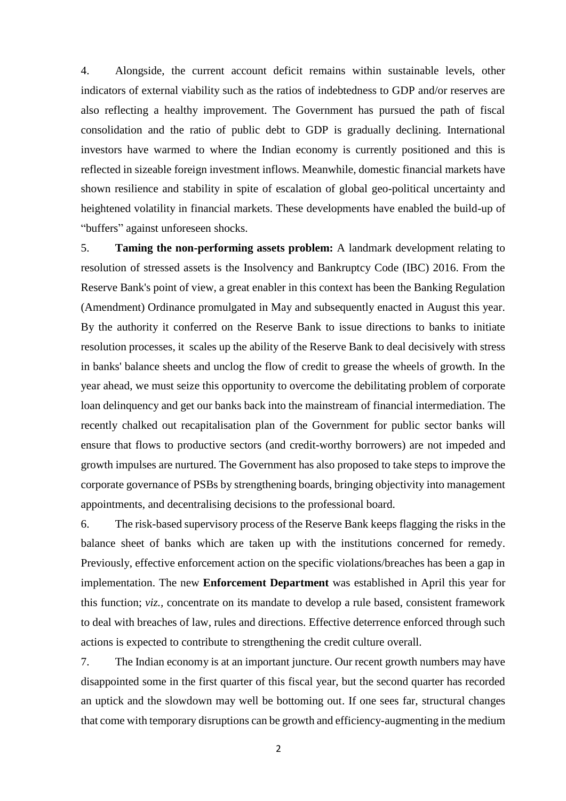4. Alongside, the current account deficit remains within sustainable levels, other indicators of external viability such as the ratios of indebtedness to GDP and/or reserves are also reflecting a healthy improvement. The Government has pursued the path of fiscal consolidation and the ratio of public debt to GDP is gradually declining. International investors have warmed to where the Indian economy is currently positioned and this is reflected in sizeable foreign investment inflows. Meanwhile, domestic financial markets have shown resilience and stability in spite of escalation of global geo-political uncertainty and heightened volatility in financial markets. These developments have enabled the build-up of "buffers" against unforeseen shocks.

5. **Taming the non-performing assets problem:** A landmark development relating to resolution of stressed assets is the Insolvency and Bankruptcy Code (IBC) 2016. From the Reserve Bank's point of view, a great enabler in this context has been the Banking Regulation (Amendment) Ordinance promulgated in May and subsequently enacted in August this year. By the authority it conferred on the Reserve Bank to issue directions to banks to initiate resolution processes, it scales up the ability of the Reserve Bank to deal decisively with stress in banks' balance sheets and unclog the flow of credit to grease the wheels of growth. In the year ahead, we must seize this opportunity to overcome the debilitating problem of corporate loan delinquency and get our banks back into the mainstream of financial intermediation. The recently chalked out recapitalisation plan of the Government for public sector banks will ensure that flows to productive sectors (and credit-worthy borrowers) are not impeded and growth impulses are nurtured. The Government has also proposed to take steps to improve the corporate governance of PSBs by strengthening boards, bringing objectivity into management appointments, and decentralising decisions to the professional board.

6. The risk-based supervisory process of the Reserve Bank keeps flagging the risks in the balance sheet of banks which are taken up with the institutions concerned for remedy. Previously, effective enforcement action on the specific violations/breaches has been a gap in implementation. The new **Enforcement Department** was established in April this year for this function; *viz.,* concentrate on its mandate to develop a rule based, consistent framework to deal with breaches of law, rules and directions. Effective deterrence enforced through such actions is expected to contribute to strengthening the credit culture overall.

7. The Indian economy is at an important juncture. Our recent growth numbers may have disappointed some in the first quarter of this fiscal year, but the second quarter has recorded an uptick and the slowdown may well be bottoming out. If one sees far, structural changes that come with temporary disruptions can be growth and efficiency-augmenting in the medium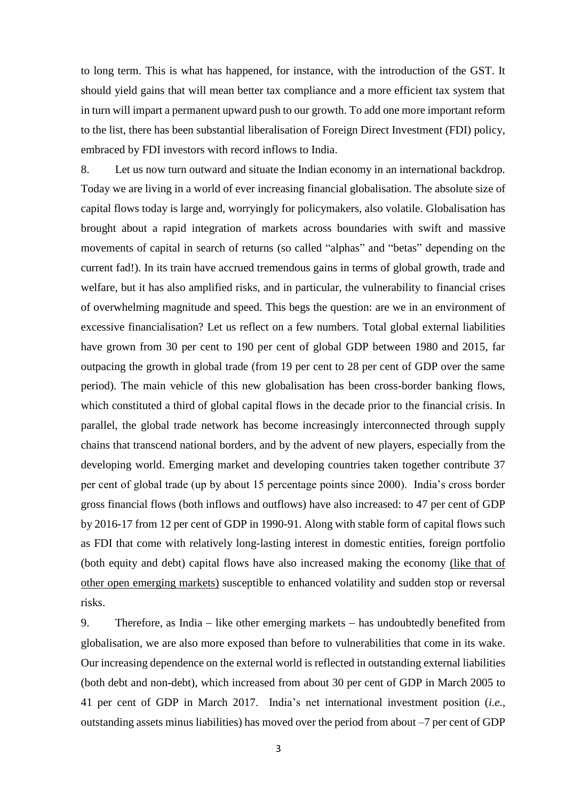to long term. This is what has happened, for instance, with the introduction of the GST. It should yield gains that will mean better tax compliance and a more efficient tax system that in turn will impart a permanent upward push to our growth. To add one more important reform to the list, there has been substantial liberalisation of Foreign Direct Investment (FDI) policy, embraced by FDI investors with record inflows to India.

8. Let us now turn outward and situate the Indian economy in an international backdrop. Today we are living in a world of ever increasing financial globalisation. The absolute size of capital flows today is large and, worryingly for policymakers, also volatile. Globalisation has brought about a rapid integration of markets across boundaries with swift and massive movements of capital in search of returns (so called "alphas" and "betas" depending on the current fad!). In its train have accrued tremendous gains in terms of global growth, trade and welfare, but it has also amplified risks, and in particular, the vulnerability to financial crises of overwhelming magnitude and speed. This begs the question: are we in an environment of excessive financialisation? Let us reflect on a few numbers. Total global external liabilities have grown from 30 per cent to 190 per cent of global GDP between 1980 and 2015, far outpacing the growth in global trade (from 19 per cent to 28 per cent of GDP over the same period). The main vehicle of this new globalisation has been cross-border banking flows, which constituted a third of global capital flows in the decade prior to the financial crisis. In parallel, the global trade network has become increasingly interconnected through supply chains that transcend national borders, and by the advent of new players, especially from the developing world. Emerging market and developing countries taken together contribute 37 per cent of global trade (up by about 15 percentage points since 2000). India's cross border gross financial flows (both inflows and outflows) have also increased: to 47 per cent of GDP by 2016-17 from 12 per cent of GDP in 1990-91. Along with stable form of capital flows such as FDI that come with relatively long-lasting interest in domestic entities, foreign portfolio (both equity and debt) capital flows have also increased making the economy (like that of other open emerging markets) susceptible to enhanced volatility and sudden stop or reversal risks.

9. Therefore, as India  $-$  like other emerging markets  $-$  has undoubtedly benefited from globalisation, we are also more exposed than before to vulnerabilities that come in its wake. Our increasing dependence on the external world is reflected in outstanding external liabilities (both debt and non-debt), which increased from about 30 per cent of GDP in March 2005 to 41 per cent of GDP in March 2017. India's net international investment position (*i.e.*, outstanding assets minus liabilities) has moved over the period from about –7 per cent of GDP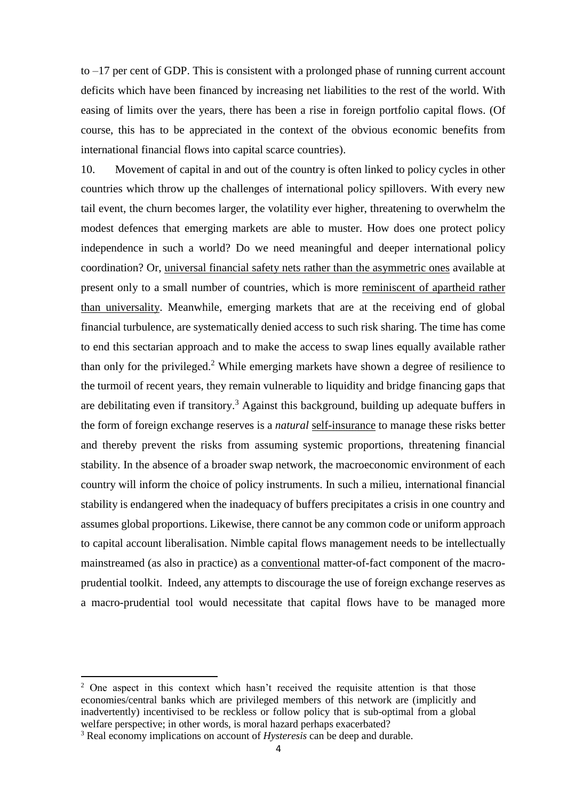to –17 per cent of GDP. This is consistent with a prolonged phase of running current account deficits which have been financed by increasing net liabilities to the rest of the world. With easing of limits over the years, there has been a rise in foreign portfolio capital flows. (Of course, this has to be appreciated in the context of the obvious economic benefits from international financial flows into capital scarce countries).

10. Movement of capital in and out of the country is often linked to policy cycles in other countries which throw up the challenges of international policy spillovers. With every new tail event, the churn becomes larger, the volatility ever higher, threatening to overwhelm the modest defences that emerging markets are able to muster. How does one protect policy independence in such a world? Do we need meaningful and deeper international policy coordination? Or, universal financial safety nets rather than the asymmetric ones available at present only to a small number of countries, which is more reminiscent of apartheid rather than universality. Meanwhile, emerging markets that are at the receiving end of global financial turbulence, are systematically denied access to such risk sharing. The time has come to end this sectarian approach and to make the access to swap lines equally available rather than only for the privileged. <sup>2</sup> While emerging markets have shown a degree of resilience to the turmoil of recent years, they remain vulnerable to liquidity and bridge financing gaps that are debilitating even if transitory.<sup>3</sup> Against this background, building up adequate buffers in the form of foreign exchange reserves is a *natural* self-insurance to manage these risks better and thereby prevent the risks from assuming systemic proportions, threatening financial stability. In the absence of a broader swap network, the macroeconomic environment of each country will inform the choice of policy instruments. In such a milieu, international financial stability is endangered when the inadequacy of buffers precipitates a crisis in one country and assumes global proportions. Likewise, there cannot be any common code or uniform approach to capital account liberalisation. Nimble capital flows management needs to be intellectually mainstreamed (as also in practice) as a conventional matter-of-fact component of the macroprudential toolkit. Indeed, any attempts to discourage the use of foreign exchange reserves as a macro-prudential tool would necessitate that capital flows have to be managed more

1

 $2$  One aspect in this context which hasn't received the requisite attention is that those economies/central banks which are privileged members of this network are (implicitly and inadvertently) incentivised to be reckless or follow policy that is sub-optimal from a global welfare perspective; in other words, is moral hazard perhaps exacerbated?

<sup>3</sup> Real economy implications on account of *Hysteresis* can be deep and durable.